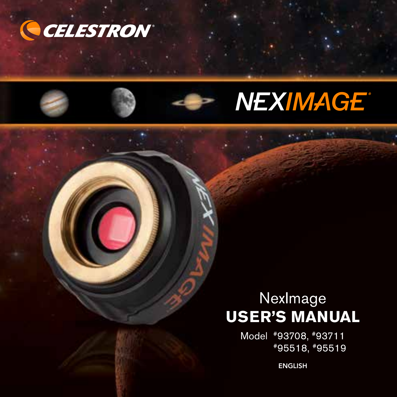





# **NexImage USER'S MANUAL**

Model #93708, #93711 #95518, #95519

ENGLISH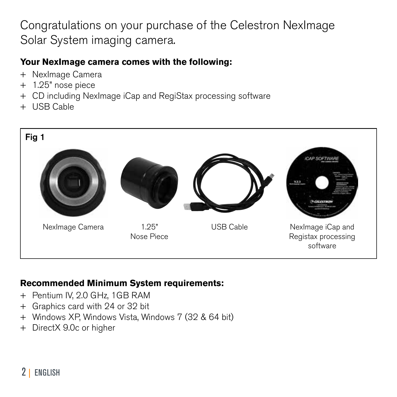## Congratulations on your purchase of the Celestron NexImage Solar System imaging camera.

### **Your NexImage camera comes with the following:**

- + NexImage Camera
- + 1.25" nose piece
- + CD including NexImage iCap and RegiStax processing software
- + USB Cable



#### **Recommended Minimum System requirements:**

- + Pentium IV, 2.0 GHz, 1GB RAM
- + Graphics card with 24 or 32 bit
- + Windows XP, Windows Vista, Windows 7 (32 & 64 bit)
- + DirectX 9.0c or higher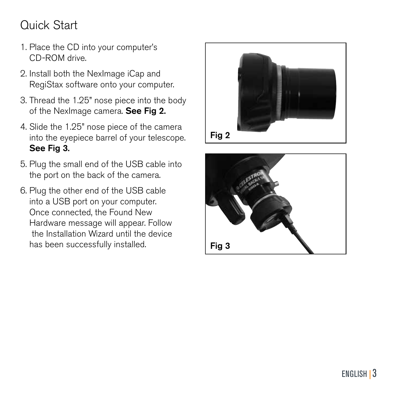# Quick Start

- 1. Place the CD into your computer's CD-ROM drive.
- 2. Install both the NexImage iCap and RegiStax software onto your computer.
- 3. Thread the 1.25" nose piece into the body of the NexImage camera. See Fig 2.
- 4. Slide the 1.25" nose piece of the camera into the eyepiece barrel of your telescope. See Fig 3.
- 5. Plug the small end of the USB cable into the port on the back of the camera.
- 6. Plug the other end of the USB cable into a USB port on your computer. Once connected, the Found New Hardware message will appear. Follow the Installation Wizard until the device has been successfully installed.



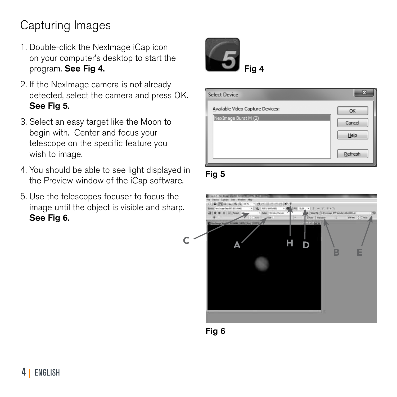# Capturing Images

- 1. Double-click the NexImage iCap icon on your computer's desktop to start the program. See Fig 4.
- 2. If the NexImage camera is not already detected, select the camera and press OK. See Fig 5.
- 3. Select an easy target like the Moon to begin with. Center and focus your telescope on the specific feature you wish to image.
- 4. You should be able to see light displayed in the Preview window of the iCap software.
- 5. Use the telescopes focuser to focus the image until the object is visible and sharp. See Fig 6.





Fig 5



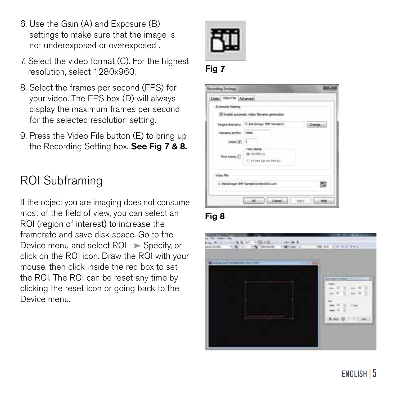- 6. Use the Gain (A) and Exposure (B) settings to make sure that the image is not underexposed or overexposed .
- 7. Select the video format (C). For the highest resolution, select 1280x960.
- 8. Select the frames per second (FPS) for your video. The FPS box (D) will always display the maximum frames per second for the selected resolution setting.
- 9. Press the Video File button (E) to bring up the Recording Setting box. See Fig 7 & 8.

### ROI Subframing

If the object you are imaging does not consume most of the field of view, you can select an ROI (region of interest) to increase the framerate and save disk space. Go to the Device menu and select  $ROI \rightarrow Specify$ , or click on the ROI icon. Draw the ROI with your mouse, then click inside the red box to set the ROI. The ROI can be reset any time by clicking the reset icon or going back to the Device menu.









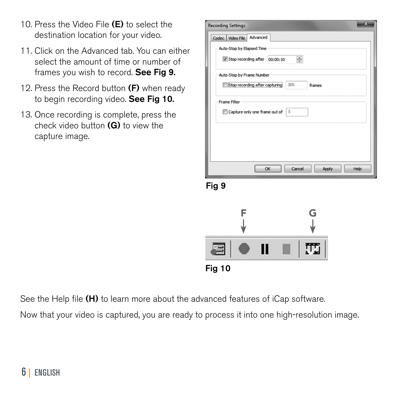- 10. Press the Video File (E) to select the destination location for your video.
- 11. Click on the Advanced tab. You can either select the amount of time or number of frames you wish to record. See Fig 9.
- 12. Press the Record button  $(F)$  when ready to begin recording video. See Fig 10.
- 13. Once recording is complete, press the check video button (G) to view the capture image.

| ×<br><b>Recording Settings</b>                                   |  |  |  |  |
|------------------------------------------------------------------|--|--|--|--|
| Codec Video File Advanced                                        |  |  |  |  |
| Auto-Stop by Elapsed Time                                        |  |  |  |  |
| $\frac{1}{\sqrt{2}}$<br>Stop recording after<br>00:00:10         |  |  |  |  |
| Auto-Stop by Frame Number                                        |  |  |  |  |
| Stop recording after capturing<br>300<br>frames                  |  |  |  |  |
| <b>Frame Filter</b><br>Capture only one frame out of<br><b>5</b> |  |  |  |  |
| Cancel<br>Help<br>OK<br>Apply                                    |  |  |  |  |

Fig 9



See the Help file (H) to learn more about the advanced features of iCap software.

Now that your video is captured, you are ready to process it into one high-resolution image.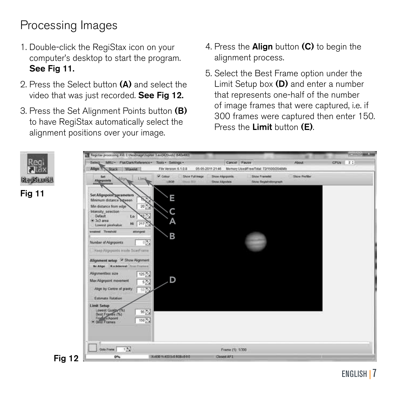# Processing Images

- 1. Double-click the RegiStax icon on your computer's desktop to start the program. See Fig 11.
- 2. Press the Select button (A) and select the video that was just recorded. See Fig 12.
- 3. Press the Set Alignment Points button (B) to have RegiStax automatically select the alignment positions over your image.
- 4. Press the Align button (C) to begin the alignment process.
- 5. Select the Best Frame option under the Limit Setup box (D) and enter a number that represents one-half of the number of image frames that were captured, i.e. if 300 frames were captured then enter 150. Press the Limit button (E).

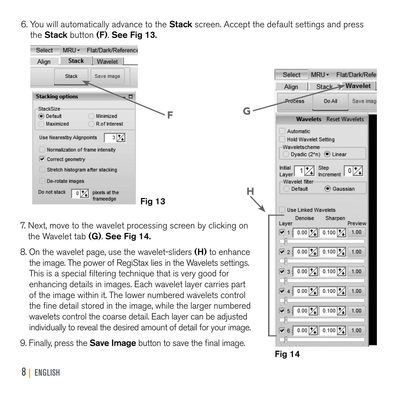6. You will automatically advance to the **Stack** screen. Accept the default settings and press the Stack button (F). See Fig 13.



- 7. Next, move to the wavelet processing screen by clicking on the Wavelet tab (G). See Fig 14.
- 8. On the wavelet page, use the wavelet-sliders (H) to enhance the image. The power of RegiStax lies in the Wavelets settings. This is a special filtering technique that is very good for enhancing details in images. Each wavelet layer carries part of the image within it. The lower numbered wavelets control the fine detail stored in the image, while the larger numbered wavelets control the coarse detail. Each layer can be adjusted individually to reveal the desired amount of detail for your image.
- 9. Finally, press the **Save Image** button to save the final image.





H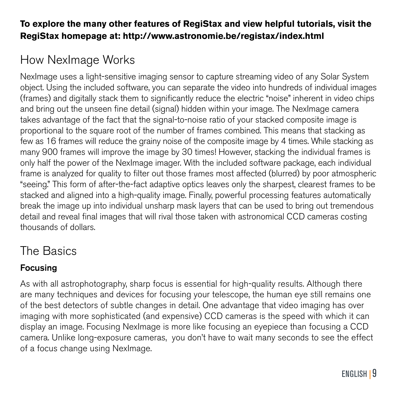#### **To explore the many other features of RegiStax and view helpful tutorials, visit the RegiStax homepage at: http://www.astronomie.be/registax/index.html**

## How NexImage Works

NexImage uses a light-sensitive imaging sensor to capture streaming video of any Solar System object. Using the included software, you can separate the video into hundreds of individual images (frames) and digitally stack them to significantly reduce the electric "noise" inherent in video chips and bring out the unseen fine detail (signal) hidden within your image. The NexImage camera takes advantage of the fact that the signal-to-noise ratio of your stacked composite image is proportional to the square root of the number of frames combined. This means that stacking as few as 16 frames will reduce the grainy noise of the composite image by 4 times. While stacking as many 900 frames will improve the image by 30 times! However, stacking the individual frames is only half the power of the NexImage imager. With the included software package, each individual frame is analyzed for quality to filter out those frames most affected (blurred) by poor atmospheric "seeing." This form of after-the-fact adaptive optics leaves only the sharpest, clearest frames to be stacked and aligned into a high-quality image. Finally, powerful processing features automatically break the image up into individual unsharp mask layers that can be used to bring out tremendous detail and reveal final images that will rival those taken with astronomical CCD cameras costing thousands of dollars.

### The Basics

### Focusing

As with all astrophotography, sharp focus is essential for high-quality results. Although there are many techniques and devices for focusing your telescope, the human eye still remains one of the best detectors of subtle changes in detail. One advantage that video imaging has over imaging with more sophisticated (and expensive) CCD cameras is the speed with which it can display an image. Focusing NexImage is more like focusing an eyepiece than focusing a CCD camera. Unlike long-exposure cameras, you don't have to wait many seconds to see the effect of a focus change using NexImage.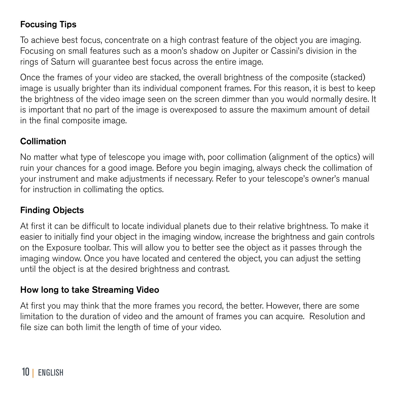### Focusing Tips

To achieve best focus, concentrate on a high contrast feature of the object you are imaging. Focusing on small features such as a moon's shadow on Jupiter or Cassini's division in the rings of Saturn will guarantee best focus across the entire image.

Once the frames of your video are stacked, the overall brightness of the composite (stacked) image is usually brighter than its individual component frames. For this reason, it is best to keep the brightness of the video image seen on the screen dimmer than you would normally desire. It is important that no part of the image is overexposed to assure the maximum amount of detail in the final composite image.

#### Collimation

No matter what type of telescope you image with, poor collimation (alignment of the optics) will ruin your chances for a good image. Before you begin imaging, always check the collimation of your instrument and make adjustments if necessary. Refer to your telescope's owner's manual for instruction in collimating the optics.

#### Finding Objects

At first it can be difficult to locate individual planets due to their relative brightness. To make it easier to initially find your object in the imaging window, increase the brightness and gain controls on the Exposure toolbar. This will allow you to better see the object as it passes through the imaging window. Once you have located and centered the object, you can adjust the setting until the object is at the desired brightness and contrast.

#### How long to take Streaming Video

At first you may think that the more frames you record, the better. However, there are some limitation to the duration of video and the amount of frames you can acquire. Resolution and file size can both limit the length of time of your video.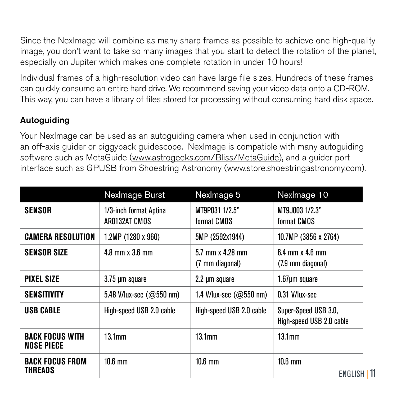Since the NexImage will combine as many sharp frames as possible to achieve one high-quality image, you don't want to take so many images that you start to detect the rotation of the planet, especially on Jupiter which makes one complete rotation in under 10 hours!

Individual frames of a high-resolution video can have large file sizes. Hundreds of these frames can quickly consume an entire hard drive. We recommend saving your video data onto a CD-ROM. This way, you can have a library of files stored for processing without consuming hard disk space.

#### **Autoguiding**

Your NexImage can be used as an autoguiding camera when used in conjunction with an off-axis guider or piggyback guidescope. NexImage is compatible with many autoguiding software such as MetaGuide (www.astrogeeks.com/Bliss/MetaGuide), and a guider port interface such as GPUSB from Shoestring Astronomy (www.store.shoestringastronomy.com).

|                                      | NexImage Burst                          | NexImage 5                            | Nexlmage 10                                      |
|--------------------------------------|-----------------------------------------|---------------------------------------|--------------------------------------------------|
| SENSOR                               | 1/3-inch format Aptina<br>AR0132AT CMOS | MT9P031 1/2.5"<br>format CMOS         | MT9J003 1/2.3"<br>format CMOS                    |
| <b>CAMERA RESOLUTION</b>             | $1.2MP(1280 \times 960)$                | 5MP (2592x1944)                       | 10.7MP (3856 x 2764)                             |
| <b>SENSOR SIZE</b>                   | $4.8$ mm x $3.6$ mm                     | $5.7$ mm x 4.28 mm<br>(7 mm diagonal) | $6.4$ mm $\times$ 4.6 mm<br>(7.9 mm diagonal)    |
| <b>PIXEL SIZE</b>                    | 3.75 µm square                          | 2.2 µm square                         | 1.67um square                                    |
| <b>SENSITIVITY</b>                   | 5.48 V/lux-sec $(Q550 \text{ nm})$      | 1.4 V/lux-sec $(Q550 \text{ nm})$     | 0.31 V/lux-sec                                   |
| <b>USB CABLE</b>                     | High-speed USB 2.0 cable                | High-speed USB 2.0 cable              | Super-Speed USB 3.0,<br>High-speed USB 2.0 cable |
| <b>BACK FOCUS WITH</b><br>NOSE PIECE | 13.1 <sub>mm</sub>                      | 13.1 <sub>mm</sub>                    | 13.1 <sub>mm</sub>                               |
| <b>BACK FOCUS FROM</b><br>THREADS    | $10.6 \text{ mm}$                       | $10.6 \text{ mm}$                     | $10.6$ mm<br>ENGLISH I 11                        |